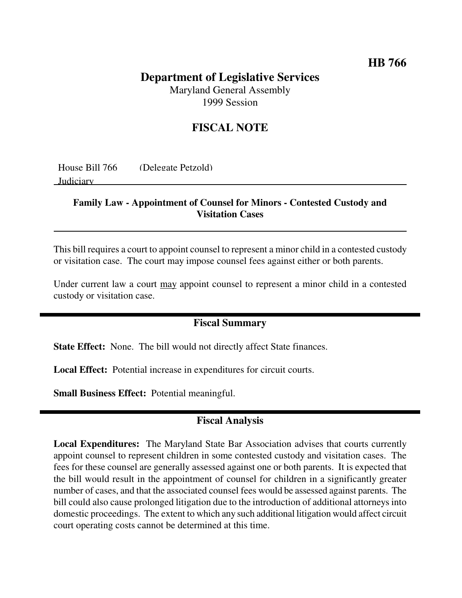### **HB 766**

# **Department of Legislative Services** Maryland General Assembly

1999 Session

## **FISCAL NOTE**

| House Bill 766 | (Delegate Petzold) |
|----------------|--------------------|
| Judiciary      |                    |
|                |                    |

#### **Family Law - Appointment of Counsel for Minors - Contested Custody and Visitation Cases**

This bill requires a court to appoint counsel to represent a minor child in a contested custody or visitation case. The court may impose counsel fees against either or both parents.

Under current law a court may appoint counsel to represent a minor child in a contested custody or visitation case.

#### **Fiscal Summary**

**State Effect:** None. The bill would not directly affect State finances.

**Local Effect:** Potential increase in expenditures for circuit courts.

**Small Business Effect:** Potential meaningful.

### **Fiscal Analysis**

**Local Expenditures:** The Maryland State Bar Association advises that courts currently appoint counsel to represent children in some contested custody and visitation cases. The fees for these counsel are generally assessed against one or both parents. It is expected that the bill would result in the appointment of counsel for children in a significantly greater number of cases, and that the associated counsel fees would be assessed against parents. The bill could also cause prolonged litigation due to the introduction of additional attorneys into domestic proceedings. The extent to which any such additional litigation would affect circuit court operating costs cannot be determined at this time.